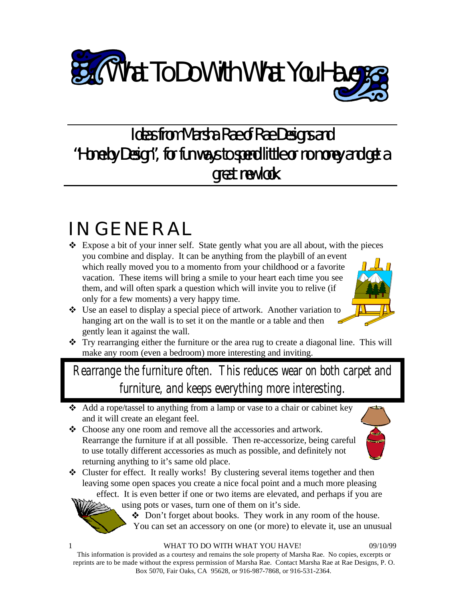

### Ideas from Marsha Rae of Rae Designs and "Home by Design", for fun ways to spend little or no money and get a great new look.

# IN GENERAL

- Expose a bit of your inner self. State gently what you are all about, with the pieces you combine and display. It can be anything from the playbill of an event which really moved you to a momento from your childhood or a favorite vacation. These items will bring a smile to your heart each time you see them, and will often spark a question which will invite you to relive (if only for a few moments) a very happy time.
- Use an easel to display a special piece of artwork. Another variation to hanging art on the wall is to set it on the mantle or a table and then gently lean it against the wall.
- Try rearranging either the furniture or the area rug to create a diagonal line. This will make any room (even a bedroom) more interesting and inviting.

Rearrange the furniture often. This reduces wear on both carpet and furniture, and keeps everything more interesting.

- Add a rope/tassel to anything from a lamp or vase to a chair or cabinet key and it will create an elegant feel.
- Choose any one room and remove all the accessories and artwork. Rearrange the furniture if at all possible. Then re-accessorize, being careful to use totally different accessories as much as possible, and definitely not returning anything to it's same old place.



• Cluster for effect. It really works! By clustering several items together and then leaving some open spaces you create a nice focal point and a much more pleasing effect. It is even better if one or two items are elevated, and perhaps if you are

using pots or vases, turn one of them on it's side.

Don't forget about books. They work in any room of the house. You can set an accessory on one (or more) to elevate it, use an unusual

1 WHAT TO DO WITH WHAT YOU HAVE! 09/10/99

This information is provided as a courtesy and remains the sole property of Marsha Rae. No copies, excerpts or reprints are to be made without the express permission of Marsha Rae. Contact Marsha Rae at Rae Designs, P. O. Box 5070, Fair Oaks, CA 95628, or 916-987-7868, or 916-531-2364.

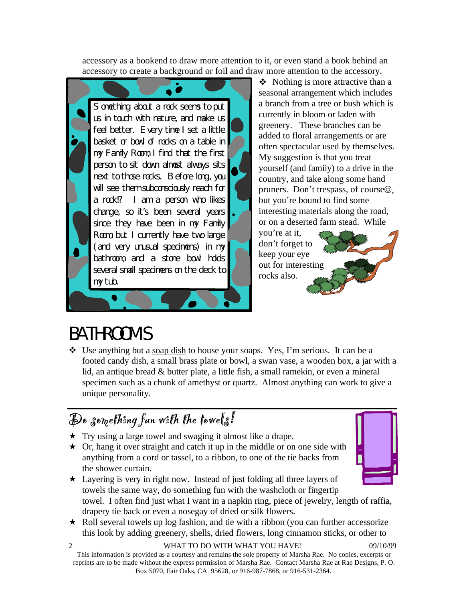accessory as a bookend to draw more attention to it, or even stand a book behind an accessory to create a background or foil and draw more attention to the accessory.



 $\triangle$  Nothing is more attractive than a seasonal arrangement which includes a branch from a tree or bush which is currently in bloom or laden with greenery. These branches can be added to floral arrangements or are often spectacular used by themselves. My suggestion is that you treat yourself (and family) to a drive in the country, and take along some hand pruners. Don't trespass, of course  $\odot$ , but you're bound to find some interesting materials along the road, or on a deserted farm stead. While

you're at it, don't forget to keep your eye out for interesting rocks also.

## BATHROOMS

 $\div$  Use anything but a soap dish to house your soaps. Yes, I'm serious. It can be a footed candy dish, a small brass plate or bowl, a swan vase, a wooden box, a jar with a lid, an antique bread & butter plate, a little fish, a small ramekin, or even a mineral specimen such as a chunk of amethyst or quartz. Almost anything can work to give a unique personality.

#### $\mathcal{D}$ o something fun with the towels!

- $\star$  Try using a large towel and swaging it almost like a drape.
- $\star$  Or, hang it over straight and catch it up in the middle or on one side with anything from a cord or tassel, to a ribbon, to one of the tie backs from the shower curtain.



- $\star$  Layering is very in right now. Instead of just folding all three layers of towels the same way, do something fun with the washcloth or fingertip towel. I often find just what I want in a napkin ring, piece of jewelry, length of raffia, drapery tie back or even a nosegay of dried or silk flowers.
- $\star$  Roll several towels up log fashion, and tie with a ribbon (you can further accessorize this look by adding greenery, shells, dried flowers, long cinnamon sticks, or other to

#### 2 WHAT TO DO WITH WHAT YOU HAVE! 09/10/99

This information is provided as a courtesy and remains the sole property of Marsha Rae. No copies, excerpts or reprints are to be made without the express permission of Marsha Rae. Contact Marsha Rae at Rae Designs, P. O. Box 5070, Fair Oaks, CA 95628, or 916-987-7868, or 916-531-2364.